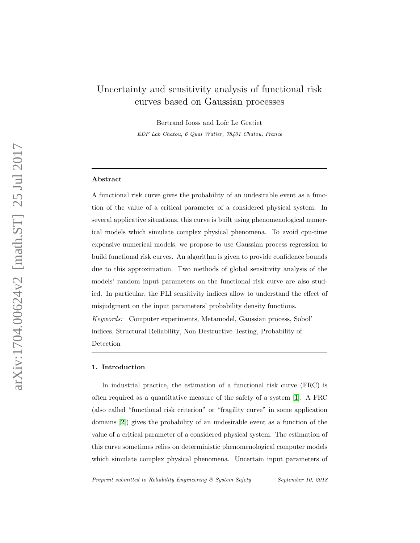# Uncertainty and sensitivity analysis of functional risk curves based on Gaussian processes

Bertrand Iooss and Loïc Le Gratiet EDF Lab Chatou, 6 Quai Watier, 78401 Chatou, France

## Abstract

A functional risk curve gives the probability of an undesirable event as a function of the value of a critical parameter of a considered physical system. In several applicative situations, this curve is built using phenomenological numerical models which simulate complex physical phenomena. To avoid cpu-time expensive numerical models, we propose to use Gaussian process regression to build functional risk curves. An algorithm is given to provide confidence bounds due to this approximation. Two methods of global sensitivity analysis of the models' random input parameters on the functional risk curve are also studied. In particular, the PLI sensitivity indices allow to understand the effect of misjudgment on the input parameters' probability density functions. Keywords: Computer experiments, Metamodel, Gaussian process, Sobol' indices, Structural Reliability, Non Destructive Testing, Probability of Detection

#### 1. Introduction

In industrial practice, the estimation of a functional risk curve (FRC) is often required as a quantitative measure of the safety of a system [\[1\]](#page-20-0). A FRC (also called "functional risk criterion" or "fragility curve" in some application domains [\[2\]](#page-20-1)) gives the probability of an undesirable event as a function of the value of a critical parameter of a considered physical system. The estimation of this curve sometimes relies on deterministic phenomenological computer models which simulate complex physical phenomena. Uncertain input parameters of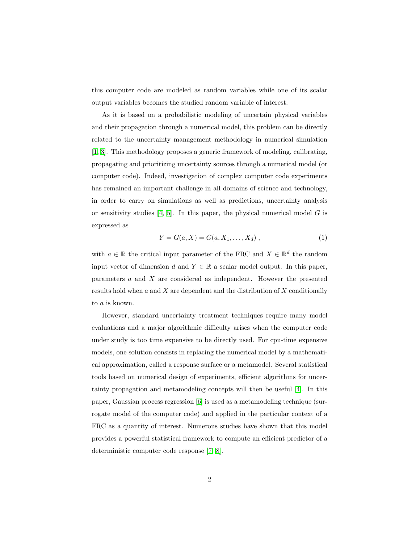this computer code are modeled as random variables while one of its scalar output variables becomes the studied random variable of interest.

As it is based on a probabilistic modeling of uncertain physical variables and their propagation through a numerical model, this problem can be directly related to the uncertainty management methodology in numerical simulation [\[1,](#page-20-0) [3\]](#page-20-2). This methodology proposes a generic framework of modeling, calibrating, propagating and prioritizing uncertainty sources through a numerical model (or computer code). Indeed, investigation of complex computer code experiments has remained an important challenge in all domains of science and technology, in order to carry on simulations as well as predictions, uncertainty analysis or sensitivity studies [\[4,](#page-20-3) [5\]](#page-20-4). In this paper, the physical numerical model  $G$  is expressed as

<span id="page-1-0"></span>
$$
Y = G(a, X) = G(a, X_1, \dots, X_d), \qquad (1)
$$

with  $a \in \mathbb{R}$  the critical input parameter of the FRC and  $X \in \mathbb{R}^d$  the random input vector of dimension d and  $Y \in \mathbb{R}$  a scalar model output. In this paper, parameters a and X are considered as independent. However the presented results hold when a and X are dependent and the distribution of X conditionally to a is known.

However, standard uncertainty treatment techniques require many model evaluations and a major algorithmic difficulty arises when the computer code under study is too time expensive to be directly used. For cpu-time expensive models, one solution consists in replacing the numerical model by a mathematical approximation, called a response surface or a metamodel. Several statistical tools based on numerical design of experiments, efficient algorithms for uncertainty propagation and metamodeling concepts will then be useful [\[4\]](#page-20-3). In this paper, Gaussian process regression [\[6\]](#page-20-5) is used as a metamodeling technique (surrogate model of the computer code) and applied in the particular context of a FRC as a quantity of interest. Numerous studies have shown that this model provides a powerful statistical framework to compute an efficient predictor of a deterministic computer code response [\[7,](#page-20-6) [8\]](#page-20-7).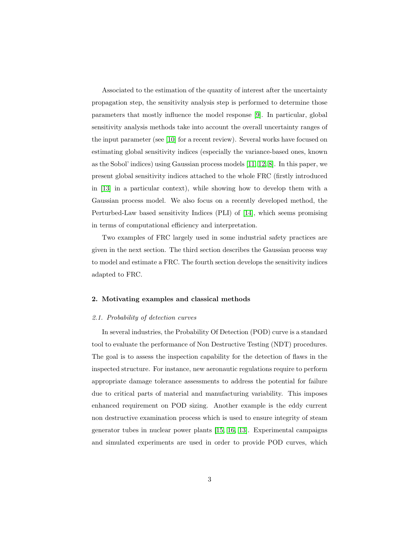Associated to the estimation of the quantity of interest after the uncertainty propagation step, the sensitivity analysis step is performed to determine those parameters that mostly influence the model response [\[9\]](#page-21-0). In particular, global sensitivity analysis methods take into account the overall uncertainty ranges of the input parameter (see [\[10\]](#page-21-1) for a recent review). Several works have focused on estimating global sensitivity indices (especially the variance-based ones, known as the Sobol' indices) using Gaussian process models [\[11,](#page-21-2) [12,](#page-21-3) [8\]](#page-20-7). In this paper, we present global sensitivity indices attached to the whole FRC (firstly introduced in [\[13\]](#page-21-4) in a particular context), while showing how to develop them with a Gaussian process model. We also focus on a recently developed method, the Perturbed-Law based sensitivity Indices (PLI) of [\[14\]](#page-21-5), which seems promising in terms of computational efficiency and interpretation.

Two examples of FRC largely used in some industrial safety practices are given in the next section. The third section describes the Gaussian process way to model and estimate a FRC. The fourth section develops the sensitivity indices adapted to FRC.

#### 2. Motivating examples and classical methods

#### <span id="page-2-0"></span>2.1. Probability of detection curves

In several industries, the Probability Of Detection (POD) curve is a standard tool to evaluate the performance of Non Destructive Testing (NDT) procedures. The goal is to assess the inspection capability for the detection of flaws in the inspected structure. For instance, new aeronautic regulations require to perform appropriate damage tolerance assessments to address the potential for failure due to critical parts of material and manufacturing variability. This imposes enhanced requirement on POD sizing. Another example is the eddy current non destructive examination process which is used to ensure integrity of steam generator tubes in nuclear power plants [\[15,](#page-21-6) [16,](#page-21-7) [13\]](#page-21-4). Experimental campaigns and simulated experiments are used in order to provide POD curves, which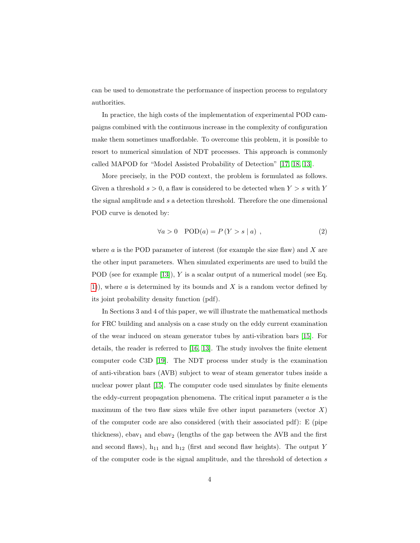can be used to demonstrate the performance of inspection process to regulatory authorities.

In practice, the high costs of the implementation of experimental POD campaigns combined with the continuous increase in the complexity of configuration make them sometimes unaffordable. To overcome this problem, it is possible to resort to numerical simulation of NDT processes. This approach is commonly called MAPOD for "Model Assisted Probability of Detection" [\[17,](#page-22-0) [18,](#page-22-1) [13\]](#page-21-4).

More precisely, in the POD context, the problem is formulated as follows. Given a threshold  $s > 0$ , a flaw is considered to be detected when  $Y > s$  with Y the signal amplitude and s a detection threshold. Therefore the one dimensional POD curve is denoted by:

<span id="page-3-0"></span>
$$
\forall a > 0 \quad \text{POD}(a) = P(Y > s \mid a) \tag{2}
$$

where  $\alpha$  is the POD parameter of interest (for example the size flaw) and  $X$  are the other input parameters. When simulated experiments are used to build the POD (see for example [\[13\]](#page-21-4)), Y is a scalar output of a numerical model (see Eq. [1\)](#page-1-0), where  $a$  is determined by its bounds and  $X$  is a random vector defined by its joint probability density function (pdf).

In Sections 3 and 4 of this paper, we will illustrate the mathematical methods for FRC building and analysis on a case study on the eddy current examination of the wear induced on steam generator tubes by anti-vibration bars [\[15\]](#page-21-6). For details, the reader is referred to [\[16,](#page-21-7) [13\]](#page-21-4). The study involves the finite element computer code C3D [\[19\]](#page-22-2). The NDT process under study is the examination of anti-vibration bars (AVB) subject to wear of steam generator tubes inside a nuclear power plant [\[15\]](#page-21-6). The computer code used simulates by finite elements the eddy-current propagation phenomena. The critical input parameter  $a$  is the maximum of the two flaw sizes while five other input parameters (vector  $X$ ) of the computer code are also considered (with their associated pdf): E (pipe thickness), ebav<sub>1</sub> and ebav<sub>2</sub> (lengths of the gap between the AVB and the first and second flaws),  $h_{11}$  and  $h_{12}$  (first and second flaw heights). The output Y of the computer code is the signal amplitude, and the threshold of detection s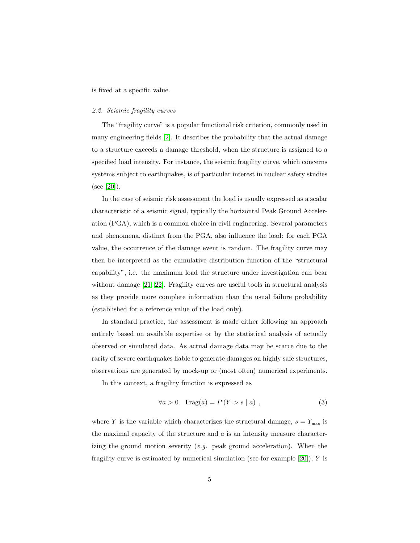is fixed at a specific value.

#### <span id="page-4-0"></span>2.2. Seismic fragility curves

The "fragility curve" is a popular functional risk criterion, commonly used in many engineering fields [\[2\]](#page-20-1). It describes the probability that the actual damage to a structure exceeds a damage threshold, when the structure is assigned to a specified load intensity. For instance, the seismic fragility curve, which concerns systems subject to earthquakes, is of particular interest in nuclear safety studies (see [\[20\]](#page-22-3)).

In the case of seismic risk assessment the load is usually expressed as a scalar characteristic of a seismic signal, typically the horizontal Peak Ground Acceleration (PGA), which is a common choice in civil engineering. Several parameters and phenomena, distinct from the PGA, also influence the load: for each PGA value, the occurrence of the damage event is random. The fragility curve may then be interpreted as the cumulative distribution function of the "structural capability", i.e. the maximum load the structure under investigation can bear without damage [\[21,](#page-22-4) [22\]](#page-22-5). Fragility curves are useful tools in structural analysis as they provide more complete information than the usual failure probability (established for a reference value of the load only).

In standard practice, the assessment is made either following an approach entirely based on available expertise or by the statistical analysis of actually observed or simulated data. As actual damage data may be scarce due to the rarity of severe earthquakes liable to generate damages on highly safe structures, observations are generated by mock-up or (most often) numerical experiments.

In this context, a fragility function is expressed as

$$
\forall a > 0 \quad \text{Frag}(a) = P(Y > s \mid a) \tag{3}
$$

where Y is the variable which characterizes the structural damage,  $s = Y_{\text{max}}$  is the maximal capacity of the structure and  $a$  is an intensity measure characterizing the ground motion severity  $(e.g.$  peak ground acceleration). When the fragility curve is estimated by numerical simulation (see for example  $[20]$ ), Y is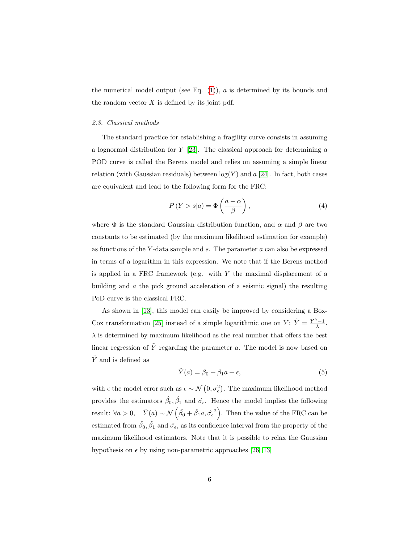the numerical model output (see Eq.  $(1)$ ), a is determined by its bounds and the random vector  $X$  is defined by its joint pdf.

#### <span id="page-5-0"></span>2.3. Classical methods

The standard practice for establishing a fragility curve consists in assuming a lognormal distribution for  $Y$  [\[23\]](#page-22-6). The classical approach for determining a POD curve is called the Berens model and relies on assuming a simple linear relation (with Gaussian residuals) between  $log(Y)$  and a [\[24\]](#page-22-7). In fact, both cases are equivalent and lead to the following form for the FRC:

$$
P(Y > s|a) = \Phi\left(\frac{a-\alpha}{\beta}\right),\tag{4}
$$

where  $\Phi$  is the standard Gaussian distribution function, and  $\alpha$  and  $\beta$  are two constants to be estimated (by the maximum likelihood estimation for example) as functions of the Y-data sample and  $s$ . The parameter  $a$  can also be expressed in terms of a logarithm in this expression. We note that if the Berens method is applied in a FRC framework (e.g. with  $Y$  the maximal displacement of a building and a the pick ground acceleration of a seismic signal) the resulting PoD curve is the classical FRC.

As shown in [\[13\]](#page-21-4), this model can easily be improved by considering a Box-Cox transformation [\[25\]](#page-22-8) instead of a simple logarithmic one on  $Y: \tilde{Y} = \frac{Y^{\lambda}-1}{\lambda}$ .  $\lambda$  is determined by maximum likelihood as the real number that offers the best linear regression of  $\tilde{Y}$  regarding the parameter a. The model is now based on  $\tilde{Y}$  and is defined as

$$
\tilde{Y}(a) = \beta_0 + \beta_1 a + \epsilon,\tag{5}
$$

with  $\epsilon$  the model error such as  $\epsilon \sim \mathcal{N}(0, \sigma_{\epsilon}^2)$ . The maximum likelihood method provides the estimators  $\hat{\beta}_0, \hat{\beta}_1$  and  $\hat{\sigma}_{\epsilon}$ . Hence the model implies the following result:  $\forall a > 0$ ,  $\tilde{Y}(a) \sim \mathcal{N}(\hat{\beta}_0 + \hat{\beta}_1 a, \hat{\sigma}_{\epsilon}^2)$ . Then the value of the FRC can be estimated from  $\hat{\beta}_0$ ,  $\hat{\beta}_1$  and  $\hat{\sigma}_{\epsilon}$ , as its confidence interval from the property of the maximum likelihood estimators. Note that it is possible to relax the Gaussian hypothesis on  $\epsilon$  by using non-parametric approaches [\[26,](#page-23-0) [13\]](#page-21-4)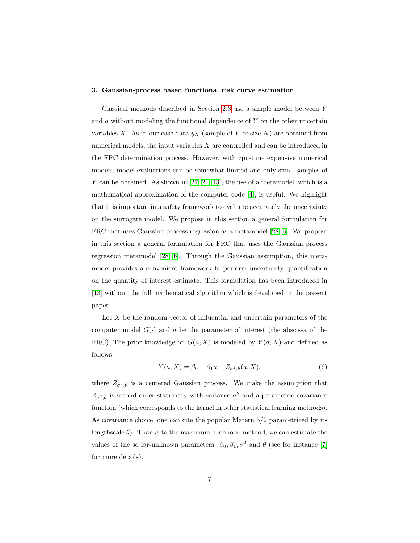#### 3. Gaussian-process based functional risk curve estimation

Classical methods described in Section [2.3](#page-5-0) use a simple model between Y and  $a$  without modeling the functional dependence of Y on the other uncertain variables X. As in our case data  $y_N$  (sample of Y of size N) are obtained from numerical models, the input variables  $X$  are controlled and can be introduced in the FRC determination process. However, with cpu-time expensive numerical models, model evaluations can be somewhat limited and only small samples of Y can be obtained. As shown in  $[27, 21, 13]$  $[27, 21, 13]$  $[27, 21, 13]$ , the use of a metamodel, which is a mathematical approximation of the computer code [\[4\]](#page-20-3), is useful. We highlight that it is important in a safety framework to evaluate accurately the uncertainty on the surrogate model. We propose in this section a general formulation for FRC that uses Gaussian process regression as a metamodel [\[28,](#page-23-2) [6\]](#page-20-5). We propose in this section a general formulation for FRC that uses the Gaussian process regression metamodel [\[28,](#page-23-2) [6\]](#page-20-5). Through the Gaussian assumption, this metamodel provides a convenient framework to perform uncertainty quantification on the quantity of interest estimate. This formulation has been introduced in [\[13\]](#page-21-4) without the full mathematical algorithm which is developed in the present paper.

Let  $X$  be the random vector of influential and uncertain parameters of the computer model  $G(\cdot)$  and a be the parameter of interest (the abscissa of the FRC). The prior knowledge on  $G(a, X)$  is modeled by  $Y(a, X)$  and defined as follows .

$$
Y(a, X) = \beta_0 + \beta_1 a + Z_{\sigma^2, \theta}(a, X),
$$
\n(6)

where  $Z_{\sigma^2,\theta}$  is a centered Gaussian process. We make the assumption that  $Z_{\sigma^2,\theta}$  is second order stationary with variance  $\sigma^2$  and a parametric covariance function (which corresponds to the kernel in other statistical learning methods). As covariance choice, one can cite the popular Matérn  $5/2$  parametrized by its lengthscale  $\theta$ ). Thanks to the maximum likelihood method, we can estimate the values of the so far-unknown parameters:  $\beta_0$ ,  $\beta_1$ ,  $\sigma^2$  and  $\theta$  (see for instance [\[7\]](#page-20-6) for more details).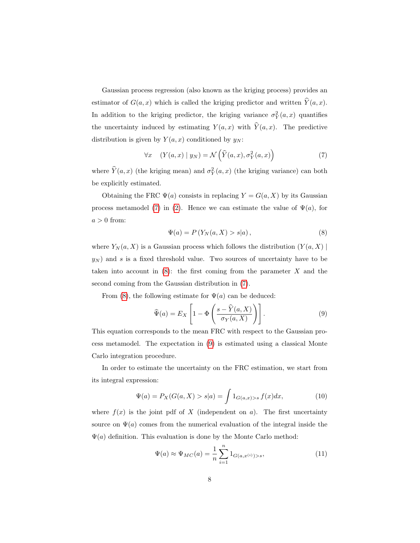Gaussian process regression (also known as the kriging process) provides an estimator of  $G(a, x)$  which is called the kriging predictor and written  $\hat{Y}(a, x)$ . In addition to the kriging predictor, the kriging variance  $\sigma_Y^2(a,x)$  quantifies the uncertainty induced by estimating  $Y(a, x)$  with  $\hat{Y}(a, x)$ . The predictive distribution is given by  $Y(a, x)$  conditioned by  $y_N$ :

<span id="page-7-0"></span>
$$
\forall x \quad (Y(a,x) \mid y_N) = \mathcal{N}\left(\widehat{Y}(a,x), \sigma_Y^2(a,x)\right) \tag{7}
$$

where  $\hat{Y}(a, x)$  (the kriging mean) and  $\sigma_Y^2(a, x)$  (the kriging variance) can both be explicitly estimated.

<span id="page-7-1"></span>Obtaining the FRC  $\Psi(a)$  consists in replacing  $Y = G(a, X)$  by its Gaussian process metamodel [\(7\)](#page-7-0) in [\(2\)](#page-3-0). Hence we can estimate the value of  $\Psi(a)$ , for  $a > 0$  from:

<span id="page-7-2"></span>
$$
\Psi(a) = P\left(Y_N(a, X) > s|a\right),\tag{8}
$$

where  $Y_N(a, X)$  is a Gaussian process which follows the distribution  $(Y(a, X)$  $y_N$ ) and s is a fixed threshold value. Two sources of uncertainty have to be taken into account in  $(8)$ : the first coming from the parameter X and the second coming from the Gaussian distribution in [\(7\)](#page-7-0).

From [\(8\)](#page-7-1), the following estimate for  $\Psi(a)$  can be deduced:

$$
\widehat{\Psi}(a) = E_X \left[ 1 - \Phi \left( \frac{s - \widehat{Y}(a, X)}{\sigma_Y(a, X)} \right) \right].
$$
\n(9)

This equation corresponds to the mean FRC with respect to the Gaussian process metamodel. The expectation in [\(9\)](#page-7-2) is estimated using a classical Monte Carlo integration procedure.

In order to estimate the uncertainty on the FRC estimation, we start from its integral expression:

$$
\Psi(a) = P_X(G(a, X) > s|a) = \int 1_{G(a,x) > s} f(x) dx,
$$
\n(10)

where  $f(x)$  is the joint pdf of X (independent on a). The first uncertainty source on  $\Psi(a)$  comes from the numerical evaluation of the integral inside the  $\Psi(a)$  definition. This evaluation is done by the Monte Carlo method:

$$
\Psi(a) \approx \Psi_{MC}(a) = \frac{1}{n} \sum_{i=1}^{n} 1_{G(a, x^{(i)}) > s},
$$
\n(11)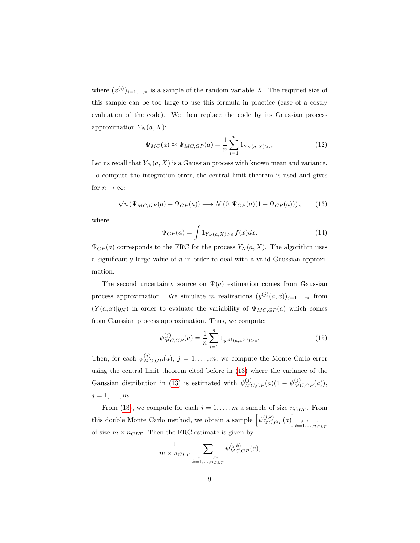where  $(x^{(i)})_{i=1,\ldots,n}$  is a sample of the random variable X. The required size of this sample can be too large to use this formula in practice (case of a costly evaluation of the code). We then replace the code by its Gaussian process approximation  $Y_N(a, X)$ :

$$
\Psi_{MC}(a) \approx \Psi_{MC,GP}(a) = \frac{1}{n} \sum_{i=1}^{n} 1_{Y_N(a,X) > s}.
$$
\n(12)

Let us recall that  $Y_N(a, X)$  is a Gaussian process with known mean and variance. To compute the integration error, the central limit theorem is used and gives for  $n \to \infty$ :

<span id="page-8-0"></span>
$$
\sqrt{n} \left( \Psi_{MC,GP}(a) - \Psi_{GP}(a) \right) \longrightarrow \mathcal{N} \left( 0, \Psi_{GP}(a) (1 - \Psi_{GP}(a)) \right), \tag{13}
$$

where

$$
\Psi_{GP}(a) = \int 1_{Y_N(a,X)>s} f(x)dx.
$$
\n(14)

 $\Psi_{GP}(a)$  corresponds to the FRC for the process  $Y_N(a, X)$ . The algorithm uses a significantly large value of  $n$  in order to deal with a valid Gaussian approximation.

The second uncertainty source on  $\Psi(a)$  estimation comes from Gaussian process approximation. We simulate m realizations  $(y^{(j)}(a, x))_{j=1,\dots,m}$  from  $(Y(a, x)|y_N)$  in order to evaluate the variability of  $\Psi_{MC,GP}(a)$  which comes from Gaussian process approximation. Thus, we compute:

$$
\psi_{MC,GP}^{(j)}(a) = \frac{1}{n} \sum_{i=1}^{n} 1_{y^{(j)}(a, x^{(i)}) > s}.
$$
\n(15)

Then, for each  $\psi_{MC,GP}^{(j)}(a), j = 1, \ldots, m$ , we compute the Monte Carlo error using the central limit theorem cited before in [\(13\)](#page-8-0) where the variance of the Gaussian distribution in [\(13\)](#page-8-0) is estimated with  $\psi_{MC,GP}^{(j)}(a)(1 - \psi_{MC,GP}^{(j)}(a)),$  $j=1,\ldots,m$ .

From [\(13\)](#page-8-0), we compute for each  $j = 1, ..., m$  a sample of size  $n_{CLT}$ . From this double Monte Carlo method, we obtain a sample  $\left[\psi_{MC,GP}^{(j,k)}(a)\right]_{k=1,\ldots,m}$ <sub> $k=1,\ldots,n_{CLT}$ </sub> of size  $m \times n_{CLT}$ . Then the FRC estimate is given by :

$$
\frac{1}{m \times n_{CLT}} \sum_{\substack{j=1,...,m \\ k=1,...,n_{CLT}}} \psi_{MC,GP}^{(j,k)}(a),
$$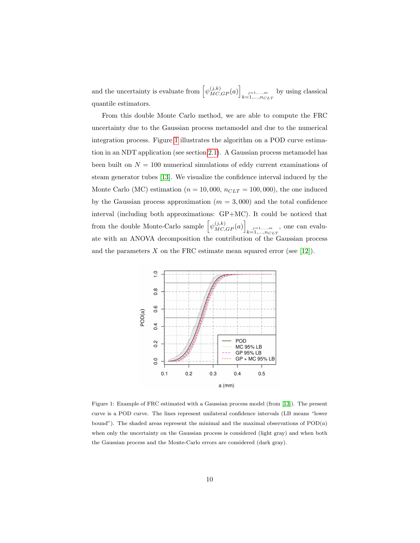and the uncertainty is evaluate from  $\left[\psi_{MC,GP}^{(j,k)}(a)\right]_{\substack{j=1,\ldots,m\\k=1,\ldots,n_{CLT}}}$  by using classical quantile estimators.

From this double Monte Carlo method, we are able to compute the FRC uncertainty due to the Gaussian process metamodel and due to the numerical integration process. Figure [1](#page-9-0) illustrates the algorithm on a POD curve estimation in an NDT application (see section [2.1\)](#page-2-0). A Gaussian process metamodel has been built on  $N = 100$  numerical simulations of eddy current examinations of steam generator tubes [\[13\]](#page-21-4). We visualize the confidence interval induced by the Monte Carlo (MC) estimation ( $n = 10,000$ ,  $n_{CLT} = 100,000$ ), the one induced by the Gaussian process approximation  $(m = 3,000)$  and the total confidence interval (including both approximations: GP+MC). It could be noticed that from the double Monte-Carlo sample  $\left[\psi_{MC,GP}^{(j,k)}(a)\right]_{k=1,\dots,m}$ , one can evaluate with an ANOVA decomposition the contribution of the Gaussian process and the parameters X on the FRC estimate mean squared error (see [\[12\]](#page-21-3)).



<span id="page-9-0"></span>Figure 1: Example of FRC estimated with a Gaussian process model (from [\[13\]](#page-21-4)). The present curve is a POD curve. The lines represent unilateral confidence intervals (LB means "lower bound"). The shaded areas represent the minimal and the maximal observations of  $POD(a)$ when only the uncertainty on the Gaussian process is considered (light gray) and when both the Gaussian process and the Monte-Carlo errors are considered (dark gray).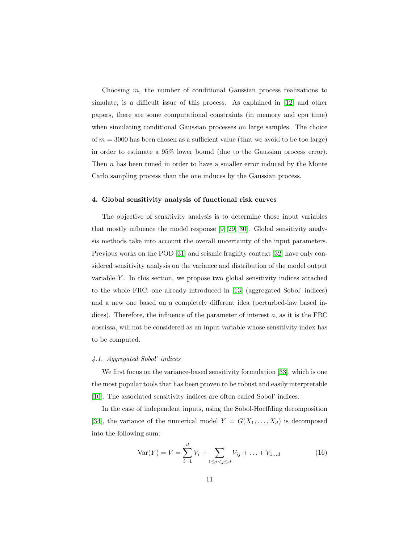Choosing m, the number of conditional Gaussian process realizations to simulate, is a difficult issue of this process. As explained in [\[12\]](#page-21-3) and other papers, there are some computational constraints (in memory and cpu time) when simulating conditional Gaussian processes on large samples. The choice of  $m = 3000$  has been chosen as a sufficient value (that we avoid to be too large) in order to estimate a 95% lower bound (due to the Gaussian process error). Then  $n$  has been tuned in order to have a smaller error induced by the Monte Carlo sampling process than the one induces by the Gaussian process.

#### 4. Global sensitivity analysis of functional risk curves

The objective of sensitivity analysis is to determine those input variables that mostly influence the model response [\[9,](#page-21-0) [29,](#page-23-3) [30\]](#page-23-4). Global sensitivity analysis methods take into account the overall uncertainty of the input parameters. Previous works on the POD [\[31\]](#page-23-5) and seismic fragility context [\[32\]](#page-23-6) have only considered sensitivity analysis on the variance and distribution of the model output variable  $Y$ . In this section, we propose two global sensitivity indices attached to the whole FRC: one already introduced in [\[13\]](#page-21-4) (aggregated Sobol' indices) and a new one based on a completely different idea (perturbed-law based indices). Therefore, the influence of the parameter of interest  $a$ , as it is the FRC abscissa, will not be considered as an input variable whose sensitivity index has to be computed.

## 4.1. Aggregated Sobol' indices

We first focus on the variance-based sensitivity formulation [\[33\]](#page-23-7), which is one the most popular tools that has been proven to be robust and easily interpretable [\[10\]](#page-21-1). The associated sensitivity indices are often called Sobol' indices.

In the case of independent inputs, using the Sobol-Hoeffding decomposition [\[34\]](#page-23-8), the variance of the numerical model  $Y = G(X_1, \ldots, X_d)$  is decomposed into the following sum:

<span id="page-10-0"></span>
$$
Var(Y) = V = \sum_{i=1}^{d} V_i + \sum_{1 \le i < j \le d} V_{ij} + \dots + V_{1...d} \tag{16}
$$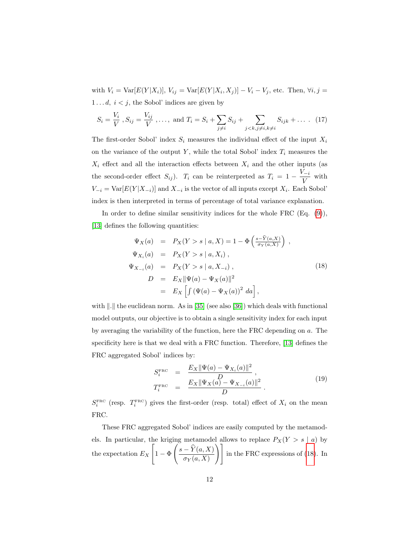with  $V_i = \text{Var}[E(Y|X_i)], V_{ij} = \text{Var}[E(Y|X_i, X_j)] - V_i - V_j$ , etc. Then,  $\forall i, j$  $1 \ldots d, i < j$ , the Sobol' indices are given by

<span id="page-11-1"></span>
$$
S_i = \frac{V_i}{V}, S_{ij} = \frac{V_{ij}}{V}, \dots, \text{ and } T_i = S_i + \sum_{j \neq i} S_{ij} + \sum_{j < k, j \neq i, k \neq i} S_{ijk} + \dots \quad (17)
$$

The first-order Sobol' index  $S_i$  measures the individual effect of the input  $X_i$ on the variance of the output Y, while the total Sobol' index  $T_i$  measures the  $X_i$  effect and all the interaction effects between  $X_i$  and the other inputs (as the second-order effect  $S_{ij}$ ).  $T_i$  can be reinterpreted as  $T_i = 1 - \frac{V_{-i}}{V_i}$  $\frac{u}{V}$  with  $V_{-i} = \text{Var}[E(Y|X_{-i})]$  and  $X_{-i}$  is the vector of all inputs except  $X_i$ . Each Sobol' index is then interpreted in terms of percentage of total variance explanation.

In order to define similar sensitivity indices for the whole FRC  $(Eq. (9))$  $(Eq. (9))$  $(Eq. (9))$ , [\[13\]](#page-21-4) defines the following quantities:

<span id="page-11-0"></span>
$$
\Psi_X(a) = P_X(Y > s | a, X) = 1 - \Phi\left(\frac{s - \hat{Y}(a, X)}{\sigma_Y(a, X)}\right),
$$
  
\n
$$
\Psi_{X_i}(a) = P_X(Y > s | a, X_i),
$$
  
\n
$$
\Psi_{X_{-i}}(a) = P_X(Y > s | a, X_{-i}),
$$
  
\n
$$
D = E_X \|\Psi(a) - \Psi_X(a)\|^2
$$
  
\n
$$
= E_X \left[ \int (\Psi(a) - \Psi_X(a))^2 \, da \right],
$$
\n(18)

with  $\Vert . \Vert$  the euclidean norm. As in [\[35\]](#page-24-0) (see also [\[36\]](#page-24-1)) which deals with functional model outputs, our objective is to obtain a single sensitivity index for each input by averaging the variability of the function, here the FRC depending on a. The specificity here is that we deal with a FRC function. Therefore, [\[13\]](#page-21-4) defines the FRC aggregated Sobol' indices by:

$$
S_i^{\text{FRC}} = \frac{E_X ||\Psi(a) - \Psi_{X_i}(a)||^2}{D}, T_i^{\text{FRC}} = \frac{E_X ||\Psi_X(a) - \Psi_{X_{-i}}(a)||^2}{D}.
$$
 (19)

 $S_i^{\text{FRC}}$  (resp.  $T_i^{\text{FRC}}$ ) gives the first-order (resp. total) effect of  $X_i$  on the mean FRC.

These FRC aggregated Sobol' indices are easily computed by the metamodels. In particular, the kriging metamodel allows to replace  $P_X(Y > s \mid a)$  by the expectation  $E_X$  $\lceil$  $1 - \Phi$  $\int \frac{s - \widehat{Y}(a, X)}{a}$  $\left( \frac{-\widehat{Y}(a,X)}{\sigma_Y(a,X)} \right)$  in the FRC expressions of [\(18\)](#page-11-0). In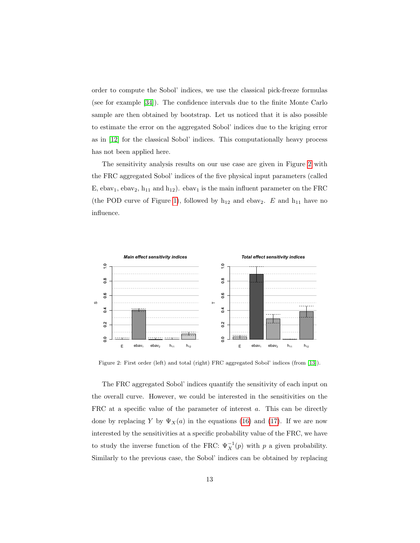order to compute the Sobol' indices, we use the classical pick-freeze formulas (see for example [\[34\]](#page-23-8)). The confidence intervals due to the finite Monte Carlo sample are then obtained by bootstrap. Let us noticed that it is also possible to estimate the error on the aggregated Sobol' indices due to the kriging error as in [\[12\]](#page-21-3) for the classical Sobol' indices. This computationally heavy process has not been applied here.

The sensitivity analysis results on our use case are given in Figure [2](#page-12-0) with the FRC aggregated Sobol' indices of the five physical input parameters (called E, ebav<sub>1</sub>, ebav<sub>2</sub>, h<sub>11</sub> and h<sub>12</sub>). ebav<sub>1</sub> is the main influent parameter on the FRC (the POD curve of Figure [1\)](#page-9-0), followed by  $h_{12}$  and ebav<sub>2</sub>. E and  $h_{11}$  have no influence.



<span id="page-12-0"></span>Figure 2: First order (left) and total (right) FRC aggregated Sobol' indices (from [\[13\]](#page-21-4)).

The FRC aggregated Sobol' indices quantify the sensitivity of each input on the overall curve. However, we could be interested in the sensitivities on the FRC at a specific value of the parameter of interest a. This can be directly done by replacing Y by  $\Psi_X(a)$  in the equations [\(16\)](#page-10-0) and [\(17\)](#page-11-1). If we are now interested by the sensitivities at a specific probability value of the FRC, we have to study the inverse function of the FRC:  $\Psi_X^{-1}(p)$  with p a given probability. Similarly to the previous case, the Sobol' indices can be obtained by replacing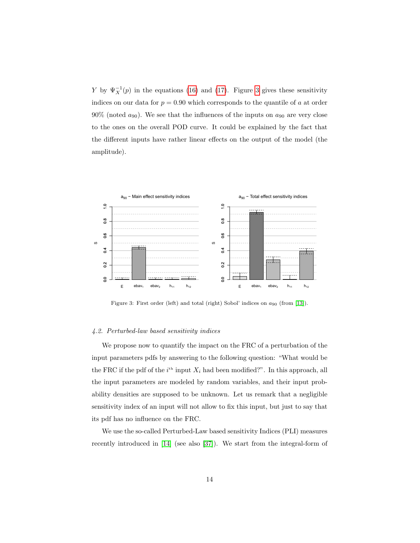Y by  $\Psi_X^{-1}(p)$  in the equations [\(16\)](#page-10-0) and [\(17\)](#page-11-1). Figure [3](#page-13-0) gives these sensitivity indices on our data for  $p = 0.90$  which corresponds to the quantile of a at order 90% (noted  $a_{90}$ ). We see that the influences of the inputs on  $a_{90}$  are very close to the ones on the overall POD curve. It could be explained by the fact that the different inputs have rather linear effects on the output of the model (the amplitude).



<span id="page-13-0"></span>Figure 3: First order (left) and total (right) Sobol' indices on  $a_{90}$  (from [\[13\]](#page-21-4)).

## 4.2. Perturbed-law based sensitivity indices

We propose now to quantify the impact on the FRC of a perturbation of the input parameters pdfs by answering to the following question: "What would be the FRC if the pdf of the  $i<sup>th</sup>$  input  $X_i$  had been modified?". In this approach, all the input parameters are modeled by random variables, and their input probability densities are supposed to be unknown. Let us remark that a negligible sensitivity index of an input will not allow to fix this input, but just to say that its pdf has no influence on the FRC.

We use the so-called Perturbed-Law based sensitivity Indices (PLI) measures recently introduced in [\[14\]](#page-21-5) (see also [\[37\]](#page-24-2)). We start from the integral-form of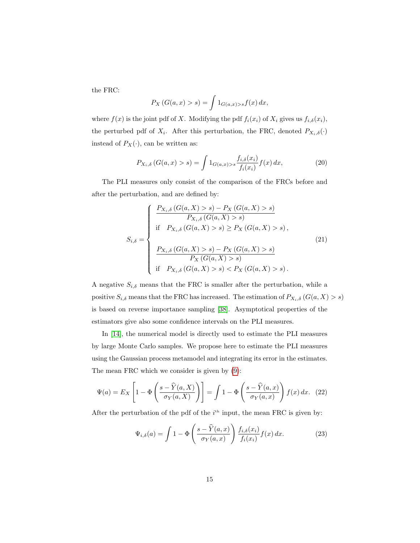the FRC:

$$
P_X(G(a,x) > s) = \int 1_{G(a,x) > s} f(x) dx,
$$

where  $f(x)$  is the joint pdf of X. Modifying the pdf  $f_i(x_i)$  of  $X_i$  gives us  $f_{i,\delta}(x_i)$ , the perturbed pdf of  $X_i$ . After this perturbation, the FRC, denoted  $P_{X_i,\delta}(\cdot)$ instead of  $P_X(\cdot)$ , can be written as:

$$
P_{X_i, \delta}(G(a, x) > s) = \int 1_{G(a, x) > s} \frac{f_{i, \delta}(x_i)}{f_i(x_i)} f(x) dx,
$$
\n(20)

The PLI measures only consist of the comparison of the FRCs before and after the perturbation, and are defined by:

$$
S_{i,\delta} = \begin{cases} \frac{P_{X_i,\delta} (G(a,X) > s) - P_X (G(a,X) > s)}{P_{X_i,\delta} (G(a,X) > s)} \\ \text{if } P_{X_i,\delta} (G(a,X) > s) \ge P_X (G(a,X) > s), \\ \frac{P_{X_i,\delta} (G(a,X) > s) - P_X (G(a,X) > s)}{P_X (G(a,X) > s)} \\ \text{if } P_{X_i,\delta} (G(a,X) > s) < P_X (G(a,X) > s). \end{cases}
$$
\n
$$
(21)
$$

A negative  $S_{i,\delta}$  means that the FRC is smaller after the perturbation, while a positive  $S_{i,\delta}$  means that the FRC has increased. The estimation of  $P_{X_i,\delta}(G(a,X) > s)$ is based on reverse importance sampling [\[38\]](#page-24-3). Asymptotical properties of the estimators give also some confidence intervals on the PLI measures.

In [\[14\]](#page-21-5), the numerical model is directly used to estimate the PLI measures by large Monte Carlo samples. We propose here to estimate the PLI measures using the Gaussian process metamodel and integrating its error in the estimates. The mean FRC which we consider is given by [\(9\)](#page-7-2):

$$
\Psi(a) = E_X \left[ 1 - \Phi \left( \frac{s - \widehat{Y}(a, X)}{\sigma_Y(a, X)} \right) \right] = \int 1 - \Phi \left( \frac{s - \widehat{Y}(a, x)}{\sigma_Y(a, x)} \right) f(x) dx. \tag{22}
$$

After the perturbation of the pdf of the  $i<sup>th</sup>$  input, the mean FRC is given by:

$$
\Psi_{i,\delta}(a) = \int 1 - \Phi\left(\frac{s - \widehat{Y}(a,x)}{\sigma_Y(a,x)}\right) \frac{f_{i,\delta}(x_i)}{f_i(x_i)} f(x) dx.
$$
 (23)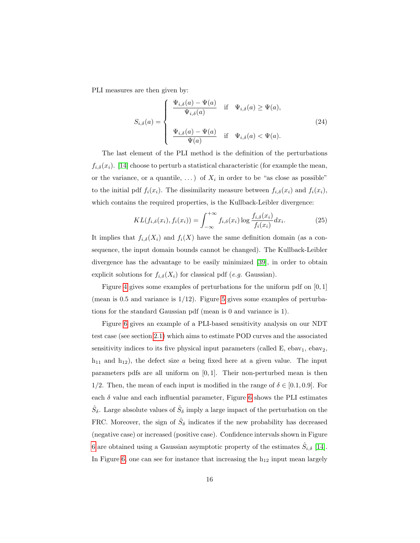PLI measures are then given by:

$$
S_{i,\delta}(a) = \begin{cases} \frac{\Psi_{i,\delta}(a) - \Psi(a)}{\Psi_{i,\delta}(a)} & \text{if } \Psi_{i,\delta}(a) \ge \Psi(a), \\ & \\ \frac{\Psi_{i,\delta}(a) - \Psi(a)}{\Psi(a)} & \text{if } \Psi_{i,\delta}(a) < \Psi(a). \end{cases}
$$
(24)

The last element of the PLI method is the definition of the perturbations  $f_{i,\delta}(x_i)$ . [\[14\]](#page-21-5) choose to perturb a statistical characteristic (for example the mean, or the variance, or a quantile, ...) of  $X_i$  in order to be "as close as possible" to the initial pdf  $f_i(x_i)$ . The dissimilarity measure between  $f_{i,\delta}(x_i)$  and  $f_i(x_i)$ , which contains the required properties, is the Kullback-Leibler divergence:

$$
KL(f_{i,\delta}(x_i), f_i(x_i)) = \int_{-\infty}^{+\infty} f_{i,\delta}(x_i) \log \frac{f_{i,\delta}(x_i)}{f_i(x_i)} dx_i.
$$
 (25)

It implies that  $f_{i,\delta}(X_i)$  and  $f_i(X)$  have the same definition domain (as a consequence, the input domain bounds cannot be changed). The Kullback-Leibler divergence has the advantage to be easily minimized [\[39\]](#page-24-4), in order to obtain explicit solutions for  $f_{i,\delta}(X_i)$  for classical pdf (e.g. Gaussian).

Figure [4](#page-16-0) gives some examples of perturbations for the uniform pdf on  $[0, 1]$ (mean is  $0.5$  and variance is  $1/12$ ). Figure [5](#page-16-1) gives some examples of perturbations for the standard Gaussian pdf (mean is 0 and variance is 1).

Figure [6](#page-17-0) gives an example of a PLI-based sensitivity analysis on our NDT test case (see section [2.1\)](#page-2-0) which aims to estimate POD curves and the associated sensitivity indices to its five physical input parameters (called  $E$ , ebav<sub>1</sub>, ebav<sub>2</sub>,  $h_{11}$  and  $h_{12}$ ), the defect size a being fixed here at a given value. The input parameters pdfs are all uniform on  $[0, 1]$ . Their non-perturbed mean is then 1/2. Then, the mean of each input is modified in the range of  $\delta \in [0.1, 0.9]$ . For each  $\delta$  value and each influential parameter, Figure [6](#page-17-0) shows the PLI estimates  $\hat{S}_\delta$ . Large absolute values of  $\hat{S}_\delta$  imply a large impact of the perturbation on the FRC. Moreover, the sign of  $\hat{S}_\delta$  indicates if the new probability has decreased (negative case) or increased (positive case). Confidence intervals shown in Figure [6](#page-17-0) are obtained using a Gaussian asymptotic property of the estimates  $\hat{S}_{i,\delta}$  [\[14\]](#page-21-5). In Figure [6,](#page-17-0) one can see for instance that increasing the  $h_{12}$  input mean largely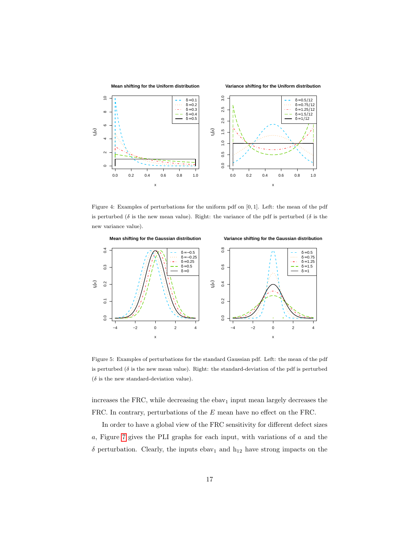

<span id="page-16-0"></span>Figure 4: Examples of perturbations for the uniform pdf on [0, 1]. Left: the mean of the pdf is perturbed ( $\delta$  is the new mean value). Right: the variance of the pdf is perturbed ( $\delta$  is the new variance value).



<span id="page-16-1"></span>Figure 5: Examples of perturbations for the standard Gaussian pdf. Left: the mean of the pdf is perturbed ( $\delta$  is the new mean value). Right: the standard-deviation of the pdf is perturbed  $(\delta$  is the new standard-deviation value).

increases the FRC, while decreasing the  $\epsilon$ bav<sub>1</sub> input mean largely decreases the FRC. In contrary, perturbations of the E mean have no effect on the FRC.

In order to have a global view of the FRC sensitivity for different defect sizes a, Figure [7](#page-18-0) gives the PLI graphs for each input, with variations of a and the  $\delta$  perturbation. Clearly, the inputs ebav<sub>1</sub> and  $h_{12}$  have strong impacts on the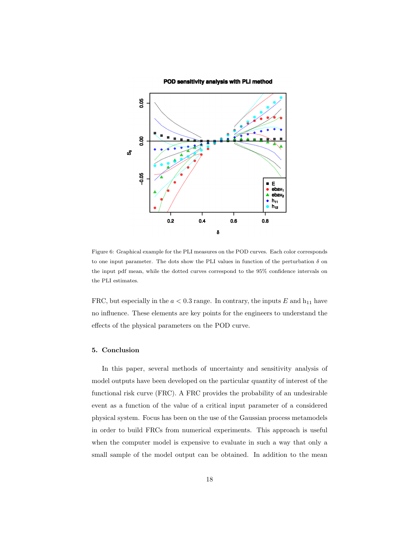#### POD sensitivity analysis with PLI method



<span id="page-17-0"></span>Figure 6: Graphical example for the PLI measures on the POD curves. Each color corresponds to one input parameter. The dots show the PLI values in function of the perturbation  $\delta$  on the input pdf mean, while the dotted curves correspond to the 95% confidence intervals on the PLI estimates.

FRC, but especially in the  $a < 0.3$  range. In contrary, the inputs  $E$  and  $h_{11}$  have no influence. These elements are key points for the engineers to understand the effects of the physical parameters on the POD curve.

## 5. Conclusion

In this paper, several methods of uncertainty and sensitivity analysis of model outputs have been developed on the particular quantity of interest of the functional risk curve (FRC). A FRC provides the probability of an undesirable event as a function of the value of a critical input parameter of a considered physical system. Focus has been on the use of the Gaussian process metamodels in order to build FRCs from numerical experiments. This approach is useful when the computer model is expensive to evaluate in such a way that only a small sample of the model output can be obtained. In addition to the mean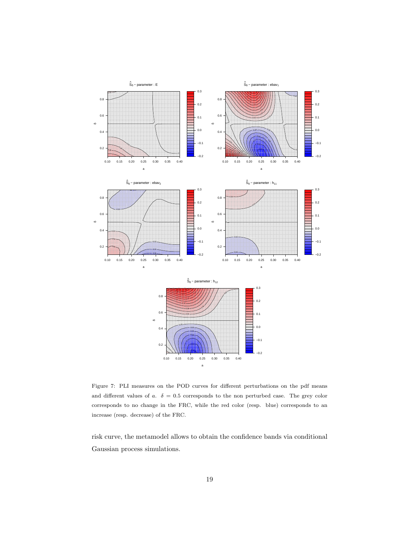

<span id="page-18-0"></span>Figure 7: PLI measures on the POD curves for different perturbations on the pdf means and different values of a.  $\delta = 0.5$  corresponds to the non perturbed case. The grey color corresponds to no change in the FRC, while the red color (resp. blue) corresponds to an increase (resp. decrease) of the FRC.

risk curve, the metamodel allows to obtain the confidence bands via conditional Gaussian process simulations.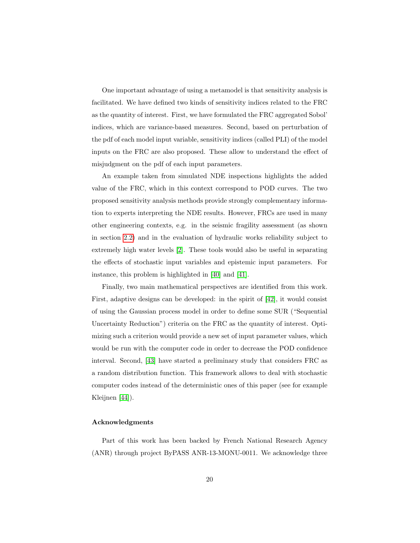One important advantage of using a metamodel is that sensitivity analysis is facilitated. We have defined two kinds of sensitivity indices related to the FRC as the quantity of interest. First, we have formulated the FRC aggregated Sobol' indices, which are variance-based measures. Second, based on perturbation of the pdf of each model input variable, sensitivity indices (called PLI) of the model inputs on the FRC are also proposed. These allow to understand the effect of misjudgment on the pdf of each input parameters.

An example taken from simulated NDE inspections highlights the added value of the FRC, which in this context correspond to POD curves. The two proposed sensitivity analysis methods provide strongly complementary information to experts interpreting the NDE results. However, FRCs are used in many other engineering contexts, e.g. in the seismic fragility assessment (as shown in section [2.2\)](#page-4-0) and in the evaluation of hydraulic works reliability subject to extremely high water levels [\[2\]](#page-20-1). These tools would also be useful in separating the effects of stochastic input variables and epistemic input parameters. For instance, this problem is highlighted in [\[40\]](#page-24-5) and [\[41\]](#page-24-6).

Finally, two main mathematical perspectives are identified from this work. First, adaptive designs can be developed: in the spirit of [\[42\]](#page-24-7), it would consist of using the Gaussian process model in order to define some SUR ("Sequential Uncertainty Reduction") criteria on the FRC as the quantity of interest. Optimizing such a criterion would provide a new set of input parameter values, which would be run with the computer code in order to decrease the POD confidence interval. Second, [\[43\]](#page-24-8) have started a preliminary study that considers FRC as a random distribution function. This framework allows to deal with stochastic computer codes instead of the deterministic ones of this paper (see for example Kleijnen [\[44\]](#page-24-9)).

## Acknowledgments

Part of this work has been backed by French National Research Agency (ANR) through project ByPASS ANR-13-MONU-0011. We acknowledge three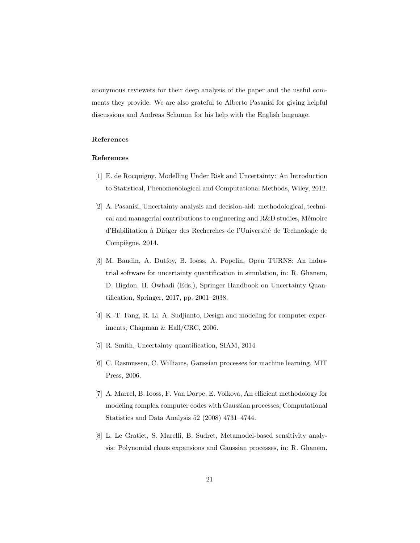anonymous reviewers for their deep analysis of the paper and the useful comments they provide. We are also grateful to Alberto Pasanisi for giving helpful discussions and Andreas Schumm for his help with the English language.

## References

# References

- <span id="page-20-0"></span>[1] E. de Rocquigny, Modelling Under Risk and Uncertainty: An Introduction to Statistical, Phenomenological and Computational Methods, Wiley, 2012.
- <span id="page-20-1"></span>[2] A. Pasanisi, Uncertainty analysis and decision-aid: methodological, technical and managerial contributions to engineering and  $R&D$  studies, Mémoire d'Habilitation à Diriger des Recherches de l'Université de Technologie de Compiègne, 2014.
- <span id="page-20-2"></span>[3] M. Baudin, A. Dutfoy, B. Iooss, A. Popelin, Open TURNS: An industrial software for uncertainty quantification in simulation, in: R. Ghanem, D. Higdon, H. Owhadi (Eds.), Springer Handbook on Uncertainty Quantification, Springer, 2017, pp. 2001–2038.
- <span id="page-20-3"></span>[4] K.-T. Fang, R. Li, A. Sudjianto, Design and modeling for computer experiments, Chapman & Hall/CRC, 2006.
- <span id="page-20-4"></span>[5] R. Smith, Uncertainty quantification, SIAM, 2014.
- <span id="page-20-5"></span>[6] C. Rasmussen, C. Williams, Gaussian processes for machine learning, MIT Press, 2006.
- <span id="page-20-6"></span>[7] A. Marrel, B. Iooss, F. Van Dorpe, E. Volkova, An efficient methodology for modeling complex computer codes with Gaussian processes, Computational Statistics and Data Analysis 52 (2008) 4731–4744.
- <span id="page-20-7"></span>[8] L. Le Gratiet, S. Marelli, B. Sudret, Metamodel-based sensitivity analysis: Polynomial chaos expansions and Gaussian processes, in: R. Ghanem,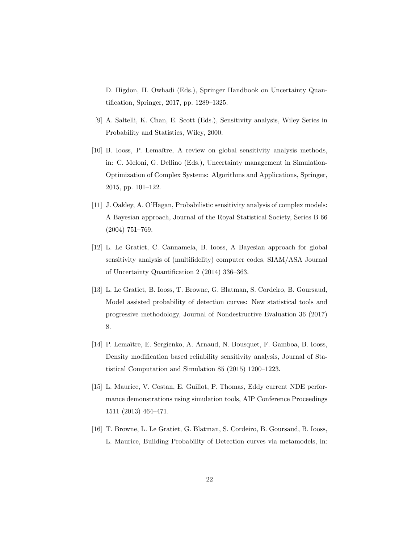D. Higdon, H. Owhadi (Eds.), Springer Handbook on Uncertainty Quantification, Springer, 2017, pp. 1289–1325.

- <span id="page-21-0"></span>[9] A. Saltelli, K. Chan, E. Scott (Eds.), Sensitivity analysis, Wiley Series in Probability and Statistics, Wiley, 2000.
- <span id="page-21-1"></span>[10] B. Iooss, P. Lemaître, A review on global sensitivity analysis methods, in: C. Meloni, G. Dellino (Eds.), Uncertainty management in Simulation-Optimization of Complex Systems: Algorithms and Applications, Springer, 2015, pp. 101–122.
- <span id="page-21-2"></span>[11] J. Oakley, A. O'Hagan, Probabilistic sensitivity analysis of complex models: A Bayesian approach, Journal of the Royal Statistical Society, Series B 66 (2004) 751–769.
- <span id="page-21-3"></span>[12] L. Le Gratiet, C. Cannamela, B. Iooss, A Bayesian approach for global sensitivity analysis of (multifidelity) computer codes, SIAM/ASA Journal of Uncertainty Quantification 2 (2014) 336–363.
- <span id="page-21-4"></span>[13] L. Le Gratiet, B. Iooss, T. Browne, G. Blatman, S. Cordeiro, B. Goursaud, Model assisted probability of detection curves: New statistical tools and progressive methodology, Journal of Nondestructive Evaluation 36 (2017) 8.
- <span id="page-21-5"></span>[14] P. Lemaˆıtre, E. Sergienko, A. Arnaud, N. Bousquet, F. Gamboa, B. Iooss, Density modification based reliability sensitivity analysis, Journal of Statistical Computation and Simulation 85 (2015) 1200–1223.
- <span id="page-21-6"></span>[15] L. Maurice, V. Costan, E. Guillot, P. Thomas, Eddy current NDE performance demonstrations using simulation tools, AIP Conference Proceedings 1511 (2013) 464–471.
- <span id="page-21-7"></span>[16] T. Browne, L. Le Gratiet, G. Blatman, S. Cordeiro, B. Goursaud, B. Iooss, L. Maurice, Building Probability of Detection curves via metamodels, in: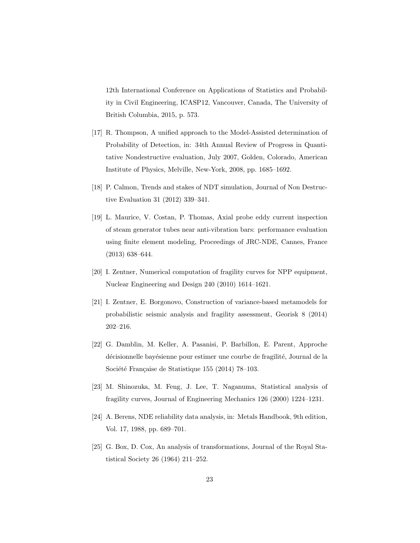12th International Conference on Applications of Statistics and Probability in Civil Engineering, ICASP12, Vancouver, Canada, The University of British Columbia, 2015, p. 573.

- <span id="page-22-0"></span>[17] R. Thompson, A unified approach to the Model-Assisted determination of Probability of Detection, in: 34th Annual Review of Progress in Quantitative Nondestructive evaluation, July 2007, Golden, Colorado, American Institute of Physics, Melville, New-York, 2008, pp. 1685–1692.
- <span id="page-22-1"></span>[18] P. Calmon, Trends and stakes of NDT simulation, Journal of Non Destructive Evaluation 31 (2012) 339–341.
- <span id="page-22-2"></span>[19] L. Maurice, V. Costan, P. Thomas, Axial probe eddy current inspection of steam generator tubes near anti-vibration bars: performance evaluation using finite element modeling, Proceedings of JRC-NDE, Cannes, France (2013) 638–644.
- <span id="page-22-3"></span>[20] I. Zentner, Numerical computation of fragility curves for NPP equipment, Nuclear Engineering and Design 240 (2010) 1614–1621.
- <span id="page-22-4"></span>[21] I. Zentner, E. Borgonovo, Construction of variance-based metamodels for probabilistic seismic analysis and fragility assessment, Georisk 8 (2014) 202–216.
- <span id="page-22-5"></span>[22] G. Damblin, M. Keller, A. Pasanisi, P. Barbillon, E. Parent, Approche décisionnelle bayésienne pour estimer une courbe de fragilité, Journal de la Société Française de Statistique 155 (2014) 78–103.
- <span id="page-22-6"></span>[23] M. Shinozuka, M. Feng, J. Lee, T. Naganuma, Statistical analysis of fragility curves, Journal of Engineering Mechanics 126 (2000) 1224–1231.
- <span id="page-22-7"></span>[24] A. Berens, NDE reliability data analysis, in: Metals Handbook, 9th edition, Vol. 17, 1988, pp. 689–701.
- <span id="page-22-8"></span>[25] G. Box, D. Cox, An analysis of transformations, Journal of the Royal Statistical Society 26 (1964) 211–252.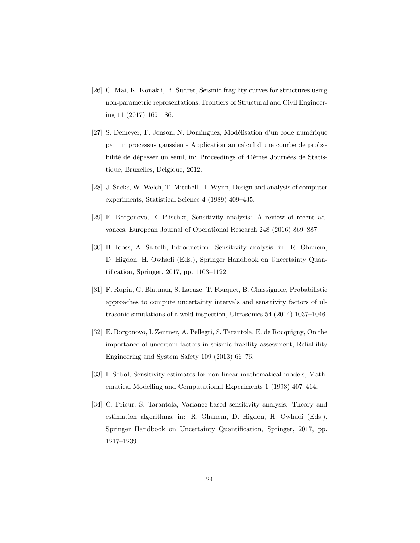- <span id="page-23-0"></span>[26] C. Mai, K. Konakli, B. Sudret, Seismic fragility curves for structures using non-parametric representations, Frontiers of Structural and Civil Engineering 11 (2017) 169–186.
- <span id="page-23-1"></span>[27] S. Demeyer, F. Jenson, N. Dominguez, Modélisation d'un code numérique par un processus gaussien - Application au calcul d'une courbe de probabilité de dépasser un seuil, in: Proceedings of 44èmes Journées de Statistique, Bruxelles, Delgique, 2012.
- <span id="page-23-2"></span>[28] J. Sacks, W. Welch, T. Mitchell, H. Wynn, Design and analysis of computer experiments, Statistical Science 4 (1989) 409–435.
- <span id="page-23-3"></span>[29] E. Borgonovo, E. Plischke, Sensitivity analysis: A review of recent advances, European Journal of Operational Research 248 (2016) 869–887.
- <span id="page-23-4"></span>[30] B. Iooss, A. Saltelli, Introduction: Sensitivity analysis, in: R. Ghanem, D. Higdon, H. Owhadi (Eds.), Springer Handbook on Uncertainty Quantification, Springer, 2017, pp. 1103–1122.
- <span id="page-23-5"></span>[31] F. Rupin, G. Blatman, S. Lacaze, T. Fouquet, B. Chassignole, Probabilistic approaches to compute uncertainty intervals and sensitivity factors of ultrasonic simulations of a weld inspection, Ultrasonics 54 (2014) 1037–1046.
- <span id="page-23-6"></span>[32] E. Borgonovo, I. Zentner, A. Pellegri, S. Tarantola, E. de Rocquigny, On the importance of uncertain factors in seismic fragility assessment, Reliability Engineering and System Safety 109 (2013) 66–76.
- <span id="page-23-7"></span>[33] I. Sobol, Sensitivity estimates for non linear mathematical models, Mathematical Modelling and Computational Experiments 1 (1993) 407–414.
- <span id="page-23-8"></span>[34] C. Prieur, S. Tarantola, Variance-based sensitivity analysis: Theory and estimation algorithms, in: R. Ghanem, D. Higdon, H. Owhadi (Eds.), Springer Handbook on Uncertainty Quantification, Springer, 2017, pp. 1217–1239.